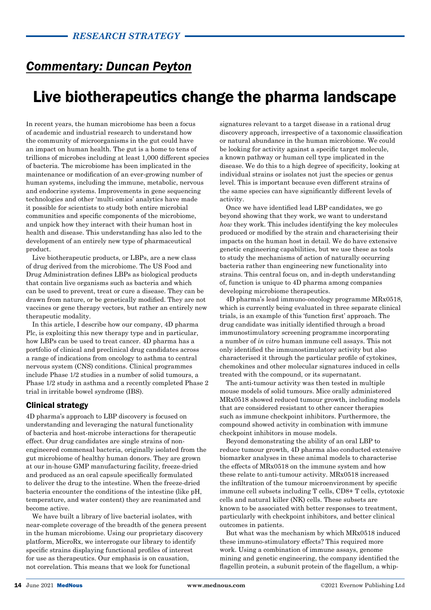# *Commentary: Duncan Peyton*

# Live biotherapeutics change the pharma landscape

In recent years, the human microbiome has been a focus of academic and industrial research to understand how the community of microorganisms in the gut could have an impact on human health. The gut is a home to tens of trillions of microbes including at least 1,000 different species of bacteria. The microbiome has been implicated in the maintenance or modification of an ever-growing number of human systems, including the immune, metabolic, nervous and endocrine systems. Improvements in gene sequencing technologies and other 'multi-omics' analytics have made it possible for scientists to study both entire microbial communities and specific components of the microbiome, and unpick how they interact with their human host in health and disease. This understanding has also led to the development of an entirely new type of pharmaceutical product.

Live biotherapeutic products, or LBPs, are a new class of drug derived from the microbiome. The US Food and Drug Administration defines LBPs as biological products that contain live organisms such as bacteria and which can be used to prevent, treat or cure a disease. They can be drawn from nature, or be genetically modified. They are not vaccines or gene therapy vectors, but rather an entirely new therapeutic modality.

In this article, I describe how our company, 4D pharma Plc, is exploiting this new therapy type and in particular, how LBPs can be used to treat cancer. 4D pharma has a portfolio of clinical and preclinical drug candidates across a range of indications from oncology to asthma to central nervous system (CNS) conditions. Clinical programmes include Phase 1/2 studies in a number of solid tumours, a Phase 1/2 study in asthma and a recently completed Phase 2 trial in irritable bowel syndrome (IBS).

## Clinical strategy

4D pharma's approach to LBP discovery is focused on understanding and leveraging the natural functionality of bacteria and host-microbe interactions for therapeutic effect. Our drug candidates are single strains of nonengineered commensal bacteria, originally isolated from the gut microbiome of healthy human donors. They are grown at our in-house GMP manufacturing facility, freeze-dried and produced as an oral capsule specifically formulated to deliver the drug to the intestine. When the freeze-dried bacteria encounter the conditions of the intestine (like pH, temperature, and water content) they are reanimated and become active.

We have built a library of live bacterial isolates, with near-complete coverage of the breadth of the genera present in the human microbiome. Using our proprietary discovery platform, MicroRx, we interrogate our library to identify specific strains displaying functional profiles of interest for use as therapeutics. Our emphasis is on causation, not correlation. This means that we look for functional

signatures relevant to a target disease in a rational drug discovery approach, irrespective of a taxonomic classification or natural abundance in the human microbiome. We could be looking for activity against a specific target molecule, a known pathway or human cell type implicated in the disease. We do this to a high degree of specificity, looking at individual strains or isolates not just the species or genus level. This is important because even different strains of the same species can have significantly different levels of activity.

Once we have identified lead LBP candidates, we go beyond showing that they work, we want to understand *how* they work. This includes identifying the key molecules produced or modified by the strain and characterising their impacts on the human host in detail. We do have extensive genetic engineering capabilities, but we use these as tools to study the mechanisms of action of naturally occurring bacteria rather than engineering new functionality into strains. This central focus on, and in-depth understanding of, function is unique to 4D pharma among companies developing microbiome therapeutics.

4D pharma's lead immuno-oncology programme MRx0518, which is currently being evaluated in three separate clinical trials, is an example of this 'function first' approach. The drug candidate was initially identified through a broad immunostimulatory screening programme incorporating a number of *in vitro* human immune cell assays. This not only identified the immunostimulatory activity but also characterised it through the particular profile of cytokines, chemokines and other molecular signatures induced in cells treated with the compound, or its supernatant.

The anti-tumour activity was then tested in multiple mouse models of solid tumours. Mice orally administered MRx0518 showed reduced tumour growth, including models that are considered resistant to other cancer therapies such as immune checkpoint inhibitors. Furthermore, the compound showed activity in combination with immune checkpoint inhibitors in mouse models.

Beyond demonstrating the ability of an oral LBP to reduce tumour growth, 4D pharma also conducted extensive biomarker analyses in these animal models to characterise the effects of MRx0518 on the immune system and how these relate to anti-tumour activity. MRx0518 increased the infiltration of the tumour microenvironment by specific immune cell subsets including T cells, CD8+ T cells, cytotoxic cells and natural killer (NK) cells. These subsets are known to be associated with better responses to treatment, particularly with checkpoint inhibitors, and better clinical outcomes in patients.

But what was the mechanism by which MRx0518 induced these immuno-stimulatory effects? This required more work. Using a combination of immune assays, genome mining and genetic engineering, the company identified the flagellin protein, a subunit protein of the flagellum, a whip-